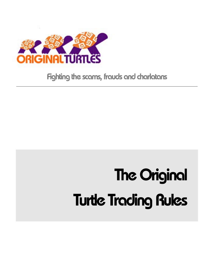

# Fighting the scams, frauds and charlatans

# **The Original** Turtle Trading Rules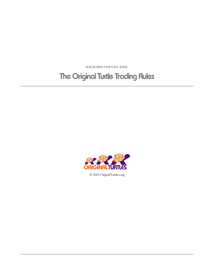ORIGINALTURTLES.ORG

# **The Original Turtle Trading Rules**



2003 OrignalTurtles.org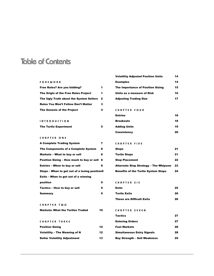# Table of Contents

| <b>FOREWORD</b>                               |              | <b>Examples</b>                              | 14 |
|-----------------------------------------------|--------------|----------------------------------------------|----|
| <b>Free Rules? Are you kidding?</b>           | 1            | <b>The Importance of Position Sizing</b>     | 15 |
| The Origin of the Free Rules Project          | 1            | Units as a measure of Risk                   | 16 |
| The Ugly Truth about the System Sellers       | $\mathbf{z}$ | <b>Adjusting Trading Size</b>                | 17 |
| <b>Rules You Won't Follow Don't Matter</b>    | 3            |                                              |    |
| <b>The Genesis of the Project</b>             | 4            | CHAPTER FOUR                                 |    |
|                                               |              | <b>Entries</b>                               | 18 |
| <b>INTRODUCTION</b>                           |              | <b>Breakouts</b>                             | 18 |
| <b>The Turtle Experiment</b>                  | 5            | <b>Adding Units</b>                          | 19 |
|                                               |              | <b>Consistency</b>                           | 20 |
| <b>CHAPTER ONE</b>                            |              |                                              |    |
| <b>A Complete Trading System</b>              | 7            | <b>CHAPTER FIVE</b>                          |    |
| The Components of a Complete System           | 8            | <b>Stops</b>                                 | 21 |
| <b>Markets - What to buy or sell</b>          | 8            | <b>Turtle Stops</b>                          | 21 |
| Position Sizing - How much to buy or sell 8   |              | <b>Stop Placement</b>                        | 22 |
| <b>Entries - When to buy or sell</b>          | 8            | <b>Alternate Stop Strategy - The Whipsaw</b> | 23 |
| Stops – When to get out of a losing position9 |              | <b>Benefits of the Turtle System Stops</b>   | 24 |
| <b>Exits – When to get out of a winning</b>   |              |                                              |    |
| position                                      | 9            | <b>CHAPTER SIX</b>                           |    |
| Tactics - How to buy or sell                  | 9            | <b>Exits</b>                                 | 25 |
| <b>Summary</b>                                | 9            | <b>Turtle Exits</b>                          | 26 |
|                                               |              | <b>These are Difficult Exits</b>             | 26 |
| CHAPTER TWO                                   |              |                                              |    |
| <b>Markets: What the Turtles Traded</b>       | 10           | CHAPTER SEVEN                                |    |
|                                               |              | <b>Tactics</b>                               | 27 |
| <b>CHAPTER THREE</b>                          |              | <b>Entering Orders</b>                       | 27 |
| <b>Position Sizing</b>                        | 12           | <b>Fast Markets</b>                          | 28 |
| <b>Volatility - The Meaning of N</b>          | 12           | <b>Simultaneous Entry Signals</b>            | 28 |
| <b>Dollar Volatility Adjustment</b>           | 13           | <b>Buy Strength – Sell Weakness</b>          | 29 |
|                                               |              |                                              |    |

Volatility Adjusted Position Units 14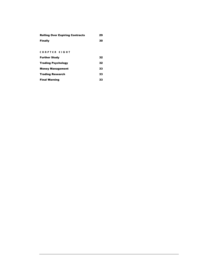| <b>Rolling Over Expiring Contracts</b> | 29 |
|----------------------------------------|----|
| <b>Finally</b>                         | 30 |
|                                        |    |
| CHAPTER EIGHT                          |    |
| <b>Further Study</b>                   | 32 |
| <b>Trading Psychology</b>              | 32 |
| <b>Money Management</b>                | 33 |
| <b>Trading Research</b>                | 33 |
| <b>Final Warning</b>                   | 33 |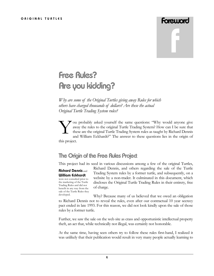# **Foreword** f

# Free Rules? Are you kidding?

*Why are some of the Original Turtles giving away Rules for which others have charged thousands of dollars? Are these the actual Original Turtle Trading System rules?* 

ou probably asked yourself the same questions: "Why would anyone give away the rules to the original Turtle Trading System? How can I be sure that these are the original Turtle Trading System rules as taught by Richard Dennis and William Eckhardt?" The answer to these questions lies in the origin of this project. Y

# The Origin of the Free Rules Project

This project had its seed in various discussions among a few of the original Turtles,

#### Richard Dennis and William Eckhardt

were not consulted prior to the marketing of the Turtle Trading Rules and did not benefit in any way from the sale of the Turtle Rules they developed.

Richard Dennis, and others regarding the sale of the Turtle Trading System rules by a former turtle, and subsequently, on a website by a non-trader. It culminated in this document, which discloses the Original Turtle Trading Rules in their entirety, free of charge.

Why? Because many of us believed that we owed an obligation to Richard Dennis not to reveal the rules, even after our contractual 10 year secrecy pact ended in late 1993. For this reason, we did not look kindly upon the sale of those rules by a former turtle.

Further, we saw the sale on the web site as crass and opportunistic intellectual property theft, an act that, while technically not illegal, was certainly not honorable.

At the same time, having seen others try to follow these rules first-hand, I realized it was unlikely that their publication would result in very many people actually learning to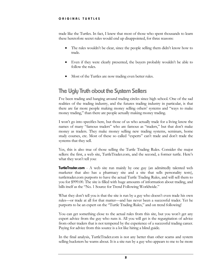trade like the Turtles. In fact, I knew that most of those who spent thousands to learn these heretofore secret rules would end up disappointed, for three reasons:

- The rules wouldn't be clear, since the people selling them didn't know how to trade.
- Even if they were clearly presented, the buyers probably wouldn't be able to follow the rules.
- Most of the Turtles are now trading even better rules.

# The Ugly Truth about the System Sellers

I've been trading and hanging around trading circles since high school. One of the sad realities of the trading industry, and the futures trading industry in particular, is that there are far more people making money selling others' systems and "ways to make money trading," than there are people actually making money trading.

I won't go into specifics here, but those of us who actually trade for a living know the names of many "famous traders" who are famous as "traders," but that don't make money as traders. They make money selling new trading systems, seminars, home study courses, etc. Most of these so called "experts" can't trade and don't trade the systems that they sell.

Yes, this is also true of those selling the Turtle Trading Rules. Consider the major sellers: the first, a web site, TurtleTrader.com, and the second, a former turtle. Here's what they won't tell you:

**TurtleTrader.com** - A web site run mainly by one guy (an admittedly talented web marketer that also has a pharmacy site and a site that sells personality tests), turtletrader.com purports to have the actual Turtle Trading Rules, and will sell them to you for \$999.00. The site is filled with huge amounts of information about trading, and bills itself as the "No. 1 Source for Trend Following Worldwide."

What they don't tell you is that the site is run by a guy who doesn't even trade his own rules—or trade at all for that matter—and has never been a successful trader. Yet he purports to be an expert on the "Turtle Trading Rules," and on trend following!

You can get something close to the actual rules from this site, but you won't get any expert advice from the guy who runs it. All you will get is the regurgitation of advice from other traders that is not tempered by the experience of a successful trading career. Paying for advice from this source is a lot like hiring a blind guide.

In the final analysis, TurtleTrader.com is not any better than other scams and system selling hucksters he warns about. It is a site run by a guy who appears to me to be more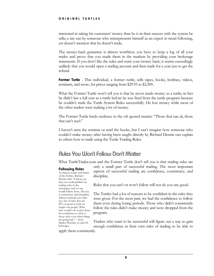interested in taking his customers' money than he is in their success with the system he sells; a site run by someone who misrepresents himself as an expert in trend following, yet doesn't mention that he doesn't trade.

The money-back guarantee is almost worthless; you have to keep a log of all your trades and prove that you made them in the markets by providing your brokerage statements. If you don't like the rules and want your money back, it seems exceedingly unlikely that you would open a trading account and then trade for a year just to get the refund.

**Former Turtle** - This individual, a former turtle, sells tapes, books, hotlines, videos, seminars, and more, for prices ranging from \$29.95 to \$2,500.

What the Former Turtle won't tell you is that he never made money as a turtle; in fact he didn't last a full year as a turtle before he was fired from the turtle program because he couldn't trade the Turtle System Rules successfully. He lost money while most of the other traders were making a lot of money.

The Former Turtle lends credence to the oft quoted maxim: "Those that can *do*, those that can't *teach*."

I haven't seen the seminar or read the books, but I can't imagine how someone who couldn't make money after having been taught directly by Richard Dennis can explain to others how to trade using the Turtle Trading Rules.

## Rules You Won't Follow Don't Matter

What TurtleTrader.com and the Former Turtle don't tell you is that trading rules are

#### Following Rules

As famous trader and father of the Turtles, Richard Dennis said: "I always say that you could publish my trading rules in the newspaper and no one would follow them. The key is consistency and discipline. Almost anybody can make up a list of rules that are 80% as good as what we taught our people. What they couldn't do is give them the confidence to stick to those rules even when things are going bad." – from Market Wizards, by Jack D. Schwager.

only a small part of successful trading. The most important aspects of successful trading are confidence, consistency, and discipline.

Rules that you can't or won't follow will not do you any good.

The Turtles had a lot of reasons to be confident in the rules they were given. For the most part, we had the confidence to follow them even during losing periods. Those who didn't consistently follow the rules didn't make money and were dropped from the program.

Traders who want to be successful will figure out a way to gain enough confidence in their own rules of trading to be able to

apply them consistently.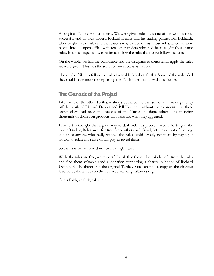As original Turtles, we had it easy. We were given rules by some of the world's most successful and famous traders, Richard Dennis and his trading partner Bill Eckhardt. They taught us the rules and the reasons why we could trust those rules. Then we were placed into an open office with ten other traders who had been taught those same rules. In some respects it was easier to follow the rules than to *not* follow the rules.

On the whole, we had the confidence and the discipline to consistently apply the rules we were given. This was the secret of our success as traders.

Those who failed to follow the rules invariably failed as Turtles. Some of them decided they could make more money selling the Turtle rules than they did as Turtles.

## The Genesis of the Project

Like many of the other Turtles, it always bothered me that some were making money off the work of Richard Dennis and Bill Eckhardt without their consent; that these secret-sellers had used the success of the Turtles to dupe others into spending thousands of dollars on products that were not what they appeared.

I had often thought that a great way to deal with this problem would be to give the Turtle Trading Rules away for free. Since others had already let the cat out of the bag, and since anyone who really wanted the rules could already get them by paying, it wouldn't violate my sense of fair play to reveal them.

So that is what we have done....with a slight twist.

While the rules are free, we respectfully ask that those who gain benefit from the rules and find them valuable send a donation supporting a charity in honor of Richard Dennis, Bill Eckhardt and the original Turtles. You can find a copy of the charities favored by the Turtles on the new web site: originalturtles.org.

Curtis Faith, an Original Turtle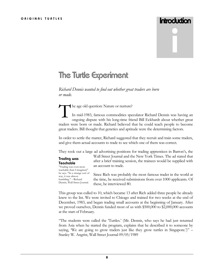# **Introduction** i

# **The Turtle Experiment**

*Richard Dennis wanted to find out whether great traders are born or made.* 

he age old question: Nature or nurture?

In mid-1983, famous commodities speculator Richard Dennis was having an ongoing dispute with his long-time friend Bill Eckhardt about whether great traders were born or made. Richard believed that he could teach people to become great traders. Bill thought that genetics and aptitude were the determining factors.  $\sum_{\text{In}}^{\text{he}}$ 

In order to settle the matter, Richard suggested that they recruit and train some traders, and give them actual accounts to trade to see which one of them was correct.

They took out a large ad advertising positions for trading apprentices in Barron's, the

| Trading was                                          | Wall Street Journal and the New York Times. The ad stated that<br>after a brief training session, the trainees would be supplied with |
|------------------------------------------------------|---------------------------------------------------------------------------------------------------------------------------------------|
| Teachable<br>"Trading was even more                  | an account to trade.                                                                                                                  |
| teachable than I imagined,"                          |                                                                                                                                       |
| he says. "In a strange sort of<br>way, it was almost | Since Rich was probably the most famous trader in the world at                                                                        |
| humbling." - Richard<br>Dennis, Wall Street Journal. | the time, he received submissions from over 1000 applicants. Of<br>these, he interviewed 80.                                          |

This group was culled to 10, which became 13 after Rich added three people he already knew to the list. We were invited to Chicago and trained for two weeks at the end of December, 1983, and began trading small accounts at the beginning of January. After we proved ourselves, Dennis funded most of us with \$500,000 to \$2,000,000 accounts at the start of February.

"The students were called the 'Turtles.' (Mr. Dennis, who says he had just returned from Asia when he started the program, explains that he described it to someone by saying, We are going to grow traders just like they grow turtles in Singapore.''' – Stanley W. Angrist, Wall Street Journal 09/05/1989

5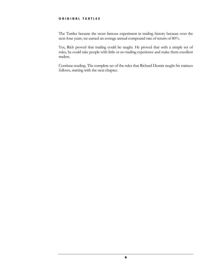The Turtles became the most famous experiment in trading history because over the next four years, we earned an average annual compound rate of return of 80%.

Yes, Rich proved that trading could be taught. He proved that with a simple set of rules, he could take people with little or no trading experience and make them excellent traders.

Continue reading. The complete set of the rules that Richard Dennis taught his trainees follows, starting with the next chapter.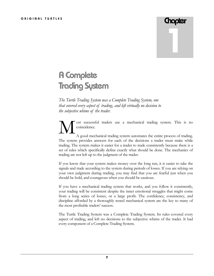# A Complete Trading System

*The Turtle Trading System was a Complete Trading System, one that covered every aspect of trading, and left virtually no decision to the subjective whims of the trader.* 

ost successful traders use a mechanical trading system. This is no coincidence.  $\mathbf{M}$  os

A good mechanical trading system automates the entire process of trading. The system provides answers for each of the decisions a trader must make while trading. The system makes it easier for a trader to trade consistently because there is a set of rules which specifically define exactly what should be done. The mechanics of trading are not left up to the judgment of the trader.

If you know that your system makes money over the long run, it is easier to take the signals and trade according to the system during periods of losses. If you are relying on your own judgment during trading, you may find that you are fearful just when you should be bold, and courageous when you should be cautious.

If you have a mechanical trading system that works, and you follow it consistently, your trading will be consistent despite the inner emotional struggles that might come from a long series of losses, or a large profit. The confidence, consistency, and discipline afforded by a thoroughly tested mechanical system are the key to many of the most profitable traders' success.

The Turtle Trading System was a Complete Trading System. Its rules covered every aspect of trading, and left no decisions to the subjective whims of the trader. It had every component of a Complete Trading System.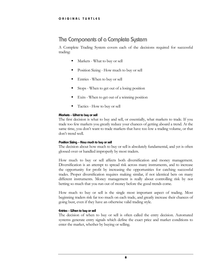## The Components of a Complete System

A Complete Trading System covers each of the decisions required for successful trading:

- **Markets What to buy or sell**
- Position Sizing How much to buy or sell
- Entries When to buy or sell
- Stops When to get out of a losing position
- Exits When to get out of a winning position
- Tactics How to buy or sell

#### Markets – What to buy or sell

The first decision is what to buy and sell, or essentially, what markets to trade. If you trade too few markets you greatly reduce your chances of getting aboard a trend. At the same time, you don't want to trade markets that have too low a trading volume, or that don't trend well.

#### Position Sizing – How much to buy or sell

The decision about how much to buy or sell is absolutely fundamental, and yet is often glossed over or handled improperly by most traders.

How much to buy or sell affects both diversification and money management. Diversification is an attempt to spread risk across many instruments, and to increase the opportunity for profit by increasing the opportunities for catching successful trades. Proper diversification requires making similar, if not identical bets on many different instruments. Money management is really about controlling risk by not betting so much that you run out of money before the good trends come.

How much to buy or sell is the single most important aspect of trading. Most beginning traders risk far too much on each trade, and greatly increase their chances of going bust, even if they have an otherwise valid trading style.

#### Entries – When to buy or sell

The decision of when to buy or sell is often called the entry decision. Automated systems generate entry signals which define the exact price and market conditions to enter the market, whether by buying or selling.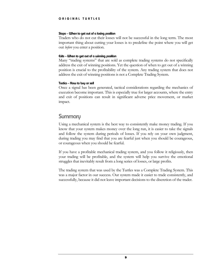#### Stops – When to get out of a losing position

Traders who do not cut their losses will not be successful in the long term. The most important thing about cutting your losses is to predefine the point where you will get out *before* you enter a position.

#### Exits – When to get out of a winning position

Many "trading systems" that are sold as complete trading systems do not specifically address the exit of winning positions. Yet the question of when to get out of a winning position is crucial to the profitability of the system. Any trading system that does not address the exit of winning positions is not a Complete Trading System.

#### Tactics – How to buy or sell

Once a signal has been generated, tactical considerations regarding the mechanics of execution become important. This is especially true for larger accounts, where the entry and exit of positions can result in significant adverse price movement, or market impact.

### **Summary**

Using a mechanical system is the best way to consistently make money trading. If you know that your system makes money over the long run, it is easier to take the signals and follow the system during periods of losses. If you rely on your own judgment, during trading you may find that you are fearful just when you should be courageous, or courageous when you should be fearful.

If you have a profitable mechanical trading system, and you follow it religiously, then your trading will be profitable, and the system will help you survive the emotional struggles that inevitably result from a long series of losses, or large profits.

The trading system that was used by the Turtles was a Complete Trading System. This was a major factor in our success. Our system made it easier to trade consistently, and successfully, because it did not leave important decisions to the discretion of the trader.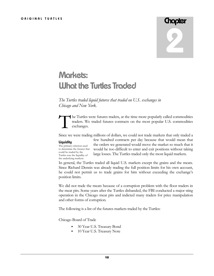# Markets: What the Turtles Traded

*The Turtles traded liquid futures that traded on U.S. exchanges in Chicago and New York.* 

he Turtles were futures traders, at the time more popularly called commodities traders. We traded futures contracts on the most popular U.S. commodities exchanges. The tra

Since we were trading millions of dollars, we could not trade markets that only traded a

#### Liquidity

The primary criterion used to determine the futures that could be traded by the Turtles was the liquidity of the underlying markets.

few hundred contracts per day because that would mean that the orders we generated would move the market so much that it would be too difficult to enter and exit positions without taking large losses. The Turtles traded only the most liquid markets.

In general, the Turtles traded all liquid U.S. markets except the grains and the meats. Since Richard Dennis was already trading the full position limits for his own account, he could not permit us to trade grains for him without exceeding the exchange's position limits.

We did not trade the meats because of a corruption problem with the floor traders in the meat pits. Some years after the Turtles disbanded, the FBI conducted a major sting operation in the Chicago meat pits and indicted many traders for price manipulation and other forms of corruption.

The following is a list of the futures markets traded by the Turtles:

Chicago Board of Trade

- 30 Year U.S. Treasury Bond
- 10 Year U.S. Treasury Note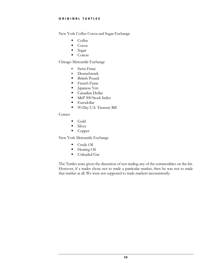New York Coffee Cocoa and Sugar Exchange

- Coffee
- Cocoa
- Sugar
- $\blacksquare$  Cotton

Chicago Mercantile Exchange

- **Swiss Franc**
- **Deutschmark**
- British Pound
- **French Franc**
- Japanese Yen
- Canadian Dollar
- S&P 500 Stock Index
- Eurodollar
- 90 Day U.S. Treasury Bill

Comex

- Gold
- **Silver**
- Copper

New York Mercantile Exchange

- Crude Oil
- **Heating Oil**
- **Unleaded Gas**

The Turtles were given the discretion of not trading any of the commodities on the list. However, if a trader chose not to trade a particular market, then he was not to trade that market at all. We were not supposed to trade markets inconsistently.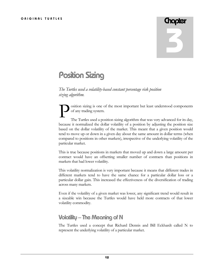# Position Sizing

*The Turtles used a volatility-based constant percentage risk position sizing algorithm.* 

osition sizing is one of the most important but least understood components of any trading system.  $\mathbf{P}_{\text{nf}}^{\text{os}}$ 

The Turtles used a position sizing algorithm that was very advanced for its day, because it normalized the dollar volatility of a position by adjusting the position size based on the dollar volatility of the market. This meant that a given position would tend to move up or down in a given day about the same amount in dollar terms (when compared to positions in other markets), irrespective of the underlying volatility of the particular market.

This is true because positions in markets that moved up and down a large amount per contract would have an offsetting smaller number of contracts than positions in markets that had lower volatility.

This volatility normalization is very important because it means that different trades in different markets tend to have the same chance for a particular dollar loss or a particular dollar gain. This increased the effectiveness of the diversification of trading across many markets.

Even if the volatility of a given market was lower, any significant trend would result in a sizeable win because the Turtles would have held more contracts of that lower volatility commodity.

# Volatility – The Meaning of N

The Turtles used a concept that Richard Dennis and Bill Eckhardt called N to represent the underlying volatility of a particular market.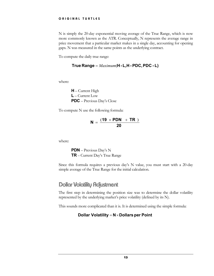N is simply the 20-day exponential moving average of the True Range, which is now more commonly known as the ATR. Conceptually, N represents the average range in price movement that a particular market makes in a single day, accounting for opening gaps. N was measured in the same points as the underlying contract.

To compute the daily true range:

**True Range** = *Maximum*(**H-L,H - PDC,PDC - L)**

where:

**H** – Current High **L** – Current Low **PDC** – Previous Day's Close

To compute N use the following formula:

$$
N = \frac{(19 \times PDN + TR)}{20}
$$

where:

**PDN** – Previous Day's N **TR** – Current Day's True Range

Since this formula requires a previous day's N value, you must start with a 20-day simple average of the True Range for the initial calculation.

## Dollar Volatility Adjustment

The first step in determining the position size was to determine the dollar volatility represented by the underlying market's price volatility (defined by its N).

This sounds more complicated than it is. It is determined using the simple formula:

### **Dollar Volatility** = **N**×**Dollars per Point**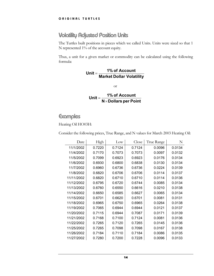# Volatility Adjusted Position Units

The Turtles built positions in pieces which we called Units. Units were sized so that 1 N represented 1% of the account equity.

Thus, a unit for a given market or commodity can be calculated using the following formula:

### **Market Dollar Volatility 1% of Account Unit** <sup>=</sup>

or

### **N Dollars per Point**  $\mathsf{Unit} = \frac{1\% \text{ of Account}}{\mathsf{N} \times \mathsf{Dollars} \text{ per Po}}$

### **Examples**

Heating Oil HO03H:

Consider the following prices, True Range, and N values for March 2003 Heating Oil:

| Date       | High   | Low    | Close  | True Range | N      |
|------------|--------|--------|--------|------------|--------|
| 11/1/2002  | 0.7220 | 0.7124 | 0.7124 | 0.0096     | 0.0134 |
| 11/4/2002  | 0.7170 | 0.7073 | 0.7073 | 0.0097     | 0.0132 |
| 11/5/2002  | 0.7099 | 0.6923 | 0.6923 | 0.0176     | 0.0134 |
| 11/6/2002  | 0.6930 | 0.6800 | 0.6838 | 0.0130     | 0.0134 |
| 11/7/2002  | 0.6960 | 0.6736 | 0.6736 | 0.0224     | 0.0139 |
| 11/8/2002  | 0.6820 | 0.6706 | 0.6706 | 0.0114     | 0.0137 |
| 11/11/2002 | 0.6820 | 0.6710 | 0.6710 | 0.0114     | 0.0136 |
| 11/12/2002 | 0.6795 | 0.6720 | 0.6744 | 0.0085     | 0.0134 |
| 11/13/2002 | 0.6760 | 0.6550 | 0.6616 | 0.0210     | 0.0138 |
| 11/14/2002 | 0.6650 | 0.6585 | 0.6627 | 0.0065     | 0.0134 |
| 11/15/2002 | 0.6701 | 0.6620 | 0.6701 | 0.0081     | 0.0131 |
| 11/18/2002 | 0.6965 | 0.6750 | 0.6965 | 0.0264     | 0.0138 |
| 11/19/2002 | 0.7065 | 0.6944 | 0.6944 | 0.0121     | 0.0137 |
| 11/20/2002 | 0.7115 | 0.6944 | 0.7087 | 0.0171     | 0.0139 |
| 11/21/2002 | 0.7168 | 0.7100 | 0.7124 | 0.0081     | 0.0136 |
| 11/22/2002 | 0.7265 | 0.7120 | 0.7265 | 0.0145     | 0.0136 |
| 11/25/2002 | 0.7265 | 0.7098 | 0.7098 | 0.0167     | 0.0138 |
| 11/26/2002 | 0.7184 | 0.7110 | 0.7184 | 0.0086     | 0.0135 |
| 11/27/2002 | 0.7280 | 0.7200 | 0.7228 | 0.0096     | 0.0133 |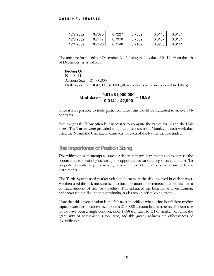| 12/2/2002 | 0.7375 | 0.7227 | 0.7359 | 0.0148 | 0.0134 |
|-----------|--------|--------|--------|--------|--------|
| 12/3/2002 | 0 7447 | 0.7310 | 0.7389 | 0.0137 | 0.0134 |
| 12/4/2002 | 0.7420 | 0.7140 | 0.7162 | 0.0280 | 0.0141 |

The unit size for the 6th of December, 2002 (using the N value of 0.0141 from the 4th of December), is as follows:

#### Heating Oil

 $N = 0.0141$ Account Size =  $$1,000,000$ Dollars per Point  $= 42,000$  (42,000 gallon contracts with price quoted in dollars)

Unit Size = 
$$
\frac{0.01 \times $1,000,000}{0.0141 \times 42,000} = 16.88
$$

Since it isn't possible to trade partial contracts, this would be truncated to an even **16** contracts.

You might ask: "How often is it necessary to compute the values for N and the Unit Size?" The Turtles were provided with a Unit size sheet on Monday of each week that listed the N, and the Unit size in contracts for each of the futures that we traded.

# The Importance of Position Sizing

Diversification is an attempt to spread risk across many instruments and to increase the opportunity for profit by increasing the opportunities for catching successful trades. To properly diversify requires making similar if not identical bets on many different instruments.

The Turtle System used market volatility to measure the risk involved in each market. We then used this risk measurement to build positions in increments that represented a constant amount of risk (or volatility). This enhanced the benefits of diversification, and increased the likelihood that winning trades would offset losing trades.

Note that this diversification is much harder to achieve when using insufficient trading capital. Consider the above example if a \$100,000 account had been used. The unit size would have been a single contract, since 1.688 truncates to 1. For smaller accounts, the granularity of adjustment is too large, and this greatly reduces the effectiveness of diversification.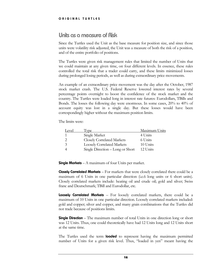## Units as a measure of Risk

Since the Turtles used the Unit as the base measure for position size, and since those units were volatility risk adjusted, the Unit was a measure of both the risk of a position, and of the entire portfolio of positions.

The Turtles were given risk management rules that limited the number of Units that we could maintain at any given time, on four different levels. In essence, these rules controlled the total risk that a trader could carry, and these limits minimized losses during prolonged losing periods, as well as during extraordinary price movements.

An example of an extraordinary price movement was the day after the October, 1987 stock market crash. The U.S. Federal Reserve lowered interest rates by several percentage points overnight to boost the confidence of the stock market and the country. The Turtles were loaded long in interest rate futures: Eurodollars, TBills and Bonds. The losses the following day were enormous. In some cases, 20% to 40% of account equity was lost in a single day. But these losses would have been correspondingly higher without the maximum position limits.

The limits were:

| Level | Type                              | Maximum Units |
|-------|-----------------------------------|---------------|
|       | Single Market                     | 4 Units       |
|       | Closely Correlated Markets        | 6 Units       |
| 3     | <b>Loosely Correlated Markets</b> | 10 Units      |
|       | Single Direction – Long or Short  | 12 Units      |
|       |                                   |               |

**Single Markets** – A maximum of four Units per market.

**Closely Correlated Markets** – For markets that were closely correlated there could be a maximum of 6 Units in one particular direction (i.e. 6 long units or 6 short units). Closely correlated markets include: heating oil and crude oil; gold and silver; Swiss franc and Deutschmark; TBill and Eurodollar, etc.

**Loosely Correlated Markets** – For loosely correlated markets, there could be a maximum of 10 Units in one particular direction. Loosely correlated markets included: gold and copper; silver and copper, and many grain combinations that the Turtles did not trade because of positions limits.

**Single Direction** – The maximum number of total Units in one direction long or short was 12 Units. Thus, one could theoretically have had 12 Units long and 12 Units short at the same time.

The Turtles used the term **loaded** to represent having the maximum permitted number of Units for a given risk level. Thus, "loaded in yen" meant having the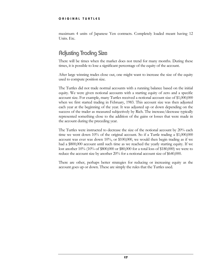maximum 4 units of Japanese Yen contracts. Completely loaded meant having 12 Units. Etc.

# Adjusting Trading Size

There will be times when the market does not trend for many months. During these times, it is possible to lose a significant percentage of the equity of the account.

After large winning trades close out, one might want to increase the size of the equity used to compute position size.

The Turtles did not trade normal accounts with a running balance based on the initial equity. We were given notional accounts with a starting equity of zero and a specific account size. For example, many Turtles received a notional account size of \$1,000,000 when we first started trading in February, 1983. This account size was then adjusted each year at the beginning of the year. It was adjusted up or down depending on the success of the trader as measured subjectively by Rich. The increase/decrease typically represented something close to the addition of the gains or losses that were made in the account during the preceding year.

The Turtles were instructed to decrease the size of the notional account by 20% each time we went down 10% of the original account. So if a Turtle trading a \$1,000,000 account was ever was down 10%, or \$100,000, we would then begin trading as if we had a \$800,000 account until such time as we reached the yearly starting equity. If we lost another 10% (10% of \$800,000 or \$80,000 for a total loss of \$180,000) we were to reduce the account size by another 20% for a notional account size of \$640,000.

There are other, perhaps better strategies for reducing or increasing equity as the account goes up or down. These are simply the rules that the Turtles used.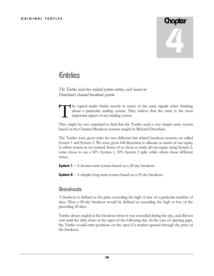# Entries

*The Turtles used two related system entries, each based on Donchian's channel breakout system.* 

he typical trader thinks mostly in terms of the entry signals when thinking about a particular trading system. They believe that the entry is the most important aspect of any trading system. The data of the state of the state of the state of the state of the state of the state of the state of the state of the state of the state of the state of the state of the state of the state of the state of the state of th

They might be very surprised to find that the Turtles used a very simple entry system based on the Channel Breakout systems taught by Richard Donchian.

The Turtles were given rules for two different but related breakout systems we called System 1 and System 2. We were given full discretion to allocate as much of our equity to either system as we wanted. Some of us chose to trade all our equity using System 2, some chose to use a 50% System 1, 50% System 2 split, while others chose different mixes.

**System 1** – A shorter-term system based on a 20-day breakout

**System 2** – A simpler long-term system based on a 55-day breakout.

### **Breakouts**

A breakout is defined as the price exceeding the high or low of a particular number of days. Thus a 20-day breakout would be defined as exceeding the high or low of the preceding 20 days.

Turtles always traded at the breakout when it was exceeded during the day, and did not wait until the daily close or the open of the following day. In the case of opening gaps, the Turtles would enter positions on the open if a market opened through the price of the breakout.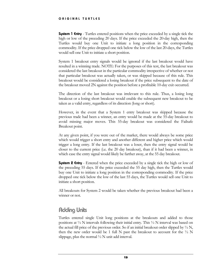**System 1 Entry** - Turtles entered positions when the price exceeded by a single tick the high or low of the preceding 20 days. If the price exceeded the 20-day high, then the Turtles would buy one Unit to initiate a long position in the corresponding commodity. If the price dropped one tick below the low of the last 20-days, the Turtles would sell one Unit to initiate a short position.

System 1 breakout entry signals would be ignored if the last breakout would have resulted in a winning trade. NOTE: For the purposes of this test, the last breakout was considered the last breakout in the particular commodity irrespective of whether or not that particular breakout was actually taken, or was skipped because of this rule. This breakout would be considered a losing breakout if the price subsequent to the date of the breakout moved 2N against the position before a profitable 10-day exit occurred.

The direction of the last breakout was irrelevant to this rule. Thus, a losing long breakout or a losing short breakout would enable the subsequent new breakout to be taken as a valid entry, regardless of its direction (long or short).

However, in the event that a System 1 entry breakout was skipped because the previous trade had been a winner, an entry would be made at the 55-day breakout to avoid missing major moves. This 55-day breakout was considered the Failsafe Breakout point.

At any given point, if you were out of the market, there would always be some price which would trigger a short entry and another different and higher price which would trigger a long entry. If the last breakout was a loser, then the entry signal would be closer to the current price (i.e. the 20 day breakout), than if it had been a winner, in which case the entry signal would likely be farther away, at the 55 day breakout.

**System 2 Entry** - Entered when the price exceeded by a single tick the high or low of the preceding 55 days. If the price exceeded the 55 day high, then the Turtles would buy one Unit to initiate a long position in the corresponding commodity. If the price dropped one tick below the low of the last 55 days, the Turtles would sell one Unit to initiate a short position.

All breakouts for System 2 would be taken whether the previous breakout had been a winner or not.

## **Adding Units**

Turtles entered single Unit long positions at the breakouts and added to those positions at  $\frac{1}{2}$  N intervals following their initial entry. This  $\frac{1}{2}$  N interval was based on the actual fill price of the previous order. So if an initial breakout order slipped by  $\frac{1}{2}N$ , then the new order would be 1 full N past the breakout to account for the  $\frac{1}{2}$  N slippage, plus the normal  $\frac{1}{2}$  N unit add interval.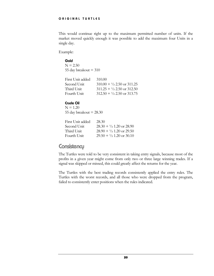This would continue right up to the maximum permitted number of units. If the market moved quickly enough it was possible to add the maximum four Units in a single day.

Example:

#### Gold

 $N = 2.50$ 55 day breakout  $= 310$ 

| First Unit added | 310.00                                |
|------------------|---------------------------------------|
| Second Unit      | $310.00 + \frac{1}{2}$ 2.50 or 311.25 |
| Third Unit       | $311.25 + \frac{1}{2}$ 2.50 or 312.50 |
| Fourth Unit      | $312.50 + \frac{1}{2}2.50$ or 313.75  |

#### Crude Oil

 $N = 1.20$ 55 day breakout  $= 28.30$ 

| First Unit added | 28.30                                 |
|------------------|---------------------------------------|
| Second Unit      | $28.30 + \frac{1}{2} 1.20$ or $28.90$ |
| Third Unit       | $28.90 + \frac{1}{2} 1.20$ or 29.50   |
| Fourth Unit      | $29.50 + \frac{1}{2} 1.20$ or 30.10   |

### **Consistency**

The Turtles were told to be very consistent in taking entry signals, because most of the profits in a given year might come from only two or three large winning trades. If a signal was skipped or missed, this could greatly affect the returns for the year.

The Turtles with the best trading records consistently applied the entry rules. The Turtles with the worst records, and all those who were dropped from the program, failed to consistently enter positions when the rules indicated.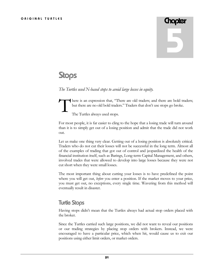# **Stops**

*The Turtles used N-based stops to avoid large losses in equity.* 

here is an expression that, "There are old traders; and there are bold traders; but there are no old bold traders." Traders that don't use stops go broke.  $\sum_{\text{Th}}^{\text{he}}$ 

The Turtles always used stops.

For most people, it is far easier to cling to the hope that a losing trade will turn around than it is to simply get out of a losing position and admit that the trade did not work out.

Let us make one thing very clear. Getting out of a losing position is absolutely critical. Traders who do not cut their losses will not be successful in the long term. Almost all of the examples of trading that got out of control and jeopardized the health of the financial institution itself, such as Barings, Long-term Capital Management, and others, involved trades that were allowed to develop into large losses because they were not cut short when they were small losses.

The most important thing about cutting your losses is to have predefined the point where you will get out, *before* you enter a position. If the market moves to your price, you must get out, no exceptions, every single time. Wavering from this method will eventually result in disaster.

# Turtle Stops

Having stops didn't mean that the Turtles always had actual stop orders placed with the broker.

Since the Turtles carried such large positions, we did not want to reveal our positions or our trading strategies by placing stop orders with brokers. Instead, we were encouraged to have a particular price, which when hit, would cause us to exit our positions using either limit orders, or market orders.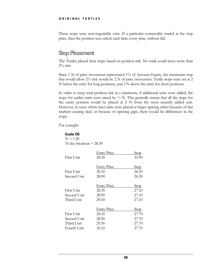These stops were non-negotiable exits. If a particular commodity traded at the stop price, then the position was exited; each time, every time, without fail.

## Stop Placement

The Turtles placed their stops based on position risk. No trade could incur more than 2% risk.

Since 1 N of price movement represented 1% of Account Equity, the maximum stop that would allow 2% risk would be 2 N of price movement. Turtle stops were set at 2 N below the entry for long positions, and 2 N above the entry for short positions.

In order to keep total position risk at a minimum, if additional units were added, the stops for earlier units were raised by  $\frac{1}{2}$  N. This generally meant that all the stops for the entire position would be placed at 2 N from the most recently added unit. However, in cases where later units were placed at larger spacing either because of fast markets causing skid, or because of opening gaps, there would be differences in the stops.

For example:

#### Crude Oil

 $N = 1.20$ 55 day breakout  $= 28.30$ 

| First Unit                                             | <b>Entry Price</b><br>28.30                            | <u>Stop</u><br>25.90                            |
|--------------------------------------------------------|--------------------------------------------------------|-------------------------------------------------|
| First Unit<br>Second Unit                              | <b>Entry Price</b><br>28.30<br>28.90                   | <u>Stop</u><br>26.50<br>26.50                   |
| First Unit<br>Second Unit<br>Third Unit                | <b>Entry Price</b><br>28.30<br>28.90<br>29.50          | <u>Stop</u><br>27.10<br>27.10<br>27.10          |
| First Unit<br>Second Unit<br>Third Unit<br>Fourth Unit | <b>Entry Price</b><br>28.30<br>28.90<br>29.50<br>30.10 | <u>Stop</u><br>27.70<br>27.70<br>27.70<br>27.70 |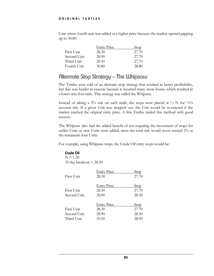Case where fourth unit was added at a higher price because the market opened gapping up to 30.80:

|             | <b>Entry Price</b> | Stop  |
|-------------|--------------------|-------|
| First Unit  | 28.30              | 27.70 |
| Second Unit | 28.90              | 27.70 |
| Third Unit  | 29.50              | 27.70 |
| Fourth Unit | 30.80              | 28.40 |

## Alternate Stop Strategy – The Whipsaw

The Turtles were told of an alternate stop strategy that resulted in better profitability, but that was harder to execute because it incurred many more losses, which resulted in a lower win/loss ratio. This strategy was called the Whipsaw.

Instead of taking a 2% risk on each trade, the stops were placed at  $\frac{1}{2}N$  for  $\frac{1}{2}\%$ account risk. If a given Unit was stopped out, the Unit would be re-entered if the market reached the original entry price. A few Turtles traded this method with good success.

The Whipsaw also had the added benefit of not requiring the movement of stops for earlier Units as new Units were added, since the total risk would never exceed 2% at the maximum four Units.

For example, using Whipsaw stops, the Crude Oil entry stops would be:

#### Crude Oil

 $N = 1.20$ 55 day breakout  $= 28.30$ 

| First Unit                              | <b>Entry Price</b><br>28.30                   | <u>Stop</u><br>27.70                   |
|-----------------------------------------|-----------------------------------------------|----------------------------------------|
| First Unit<br>Second Unit               | <b>Entry Price</b><br>28.30<br>28.90          | <u>Stop</u><br>27.70<br>28.30          |
| First Unit<br>Second Unit<br>Third Unit | <b>Entry Price</b><br>28.30<br>28.90<br>29.50 | <u>Stop</u><br>27.70<br>28.30<br>28.90 |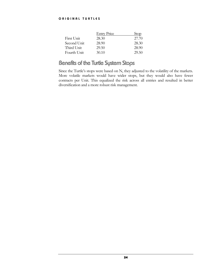|             | <b>Entry Price</b> | Stop  |
|-------------|--------------------|-------|
| First Unit  | 28.30              | 27.70 |
| Second Unit | 28.90              | 28.30 |
| Third Unit  | 29.50              | 28.90 |
| Fourth Unit | 30.10              | 29.50 |

# Benefits of the Turtle System Stops

Since the Turtle's stops were based on N, they adjusted to the volatility of the markets. More volatile markets would have wider stops, but they would also have fewer contracts per Unit. This equalized the risk across all entries and resulted in better diversification and a more robust risk management.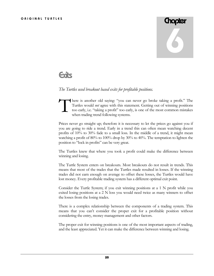# **Exits**

*The Turtles used breakout based exits for profitable positions.* 

here is another old saying: "you can never go broke taking a profit." The Turtles would *not* agree with this statement. Getting out of winning positions too early, i.e. "taking a profit" too early, is one of the most common mistakes when trading trend following systems.  $\prod_{\substack{\text{tot} \\ \text{tot}}}$ 

Prices never go straight up; therefore it is necessary to let the prices go against you if you are going to ride a trend. Early in a trend this can often mean watching decent profits of 10% to 30% fade to a small loss. In the middle of a trend, it might mean watching a profit of 80% to 100% drop by 30% to 40%. The temptation to lighten the position to "lock in profits" can be very great.

The Turtles knew that where you took a profit could make the difference between winning and losing.

The Turtle System enters on breakouts. Most breakouts do not result in trends. This means that most of the trades that the Turtles made resulted in losses. If the winning trades did not earn enough on average to offset these losses, the Turtles would have lost money. Every profitable trading system has a different optimal exit point.

Consider the Turtle System; if you exit winning positions at a 1 N profit while you exited losing positions at a 2 N loss you would need twice as many winners to offset the losses from the losing trades.

There is a complex relationship between the components of a trading system. This means that you can't consider the proper exit for a profitable position without considering the entry, money management and other factors.

The proper exit for winning positions is one of the most important aspects of trading, and the least appreciated. Yet it can make the difference between winning and losing.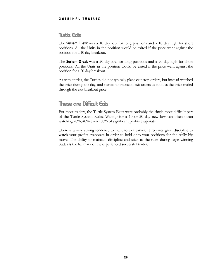# **Turtle Exits**

The **System 1 exit** was a 10 day low for long positions and a 10 day high for short positions. All the Units in the position would be exited if the price went against the position for a 10 day breakout.

The **System 2 exit** was a 20 day low for long positions and a 20 day high for short positions. All the Units in the position would be exited if the price went against the position for a 20 day breakout.

As with entries, the Turtles did not typically place exit stop orders, but instead watched the price during the day, and started to phone in exit orders as soon as the price traded through the exit breakout price.

# **These are Difficult Exits**

For most traders, the Turtle System Exits were probably the single most difficult part of the Turtle System Rules. Waiting for a 10 or 20 day new low can often mean watching 20%, 40% even 100% of significant profits evaporate.

There is a very strong tendency to want to exit earlier. It requires great discipline to watch your profits evaporate in order to hold onto your positions for the really big move. The ability to maintain discipline and stick to the rules during large winning trades is the hallmark of the experienced successful trader.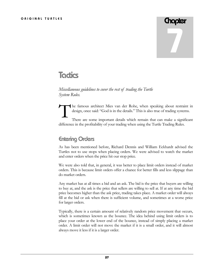# **Tactics**

*Miscellaneous guidelines to cover the rest of trading the Turtle System Rules.* 

he famous architect Mies van der Rohe, when speaking about restraint in design, once said: "God is in the details." This is also true of trading systems.  $\sum_{\text{th}}^{\text{he}}$ 

There are some important details which remain that can make a significant difference in the profitability of your trading when using the Turtle Trading Rules.

# Entering Orders

As has been mentioned before, Richard Dennis and William Eckhardt advised the Turtles not to use stops when placing orders. We were advised to watch the market and enter orders when the price hit our stop price.

We were also told that, in general, it was better to place limit orders instead of market orders. This is because limit orders offer a chance for better fills and less slippage than do market orders.

Any market has at all times a bid and an ask. The bid is the price that buyers are willing to buy at, and the ask is the price that sellers are willing to sell at. If at any time the bid price becomes higher than the ask price, trading takes place. A market order will always fill at the bid or ask when there is sufficient volume, and sometimes at a worse price for larger orders.

Typically, there is a certain amount of relatively random price movement that occurs, which is sometimes known as the bounce. The idea behind using limit orders is to place your order at the lower end of the bounce, instead of simply placing a market order. A limit order will not move the market if it is a small order, and it will almost always move it less if it is a larger order.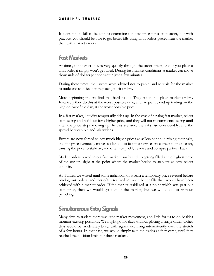It takes some skill to be able to determine the best price for a limit order, but with practice, you should be able to get better fills using limit orders placed near the market than with market orders.

### Fast Markets

At times, the market moves very quickly through the order prices, and if you place a limit order it simply won't get filled. During fast market conditions, a market can move thousands of dollars per contract in just a few minutes.

During these times, the Turtles were advised not to panic, and to wait for the market to trade and stabilize before placing their orders.

Most beginning traders find this hard to do. They panic and place market orders. Invariably they do this at the worst possible time, and frequently end up trading on the high or low of the day, at the worst possible price.

In a fast market, liquidity temporarily dries up. In the case of a rising fast market, sellers stop selling and hold out for a higher price, and they will not re-commence selling until after the price stops moving up. In this scenario, the asks rise considerably, and the spread between bid and ask widens.

Buyers are now forced to pay much higher prices as sellers continue raising their asks, and the price eventually moves so far and so fast that new sellers come into the market, causing the price to stabilize, and often to quickly reverse and collapse partway back.

Market orders placed into a fast market usually end up getting filled at the highest price of the run-up, right at the point where the market begins to stabilize as new sellers come in.

As Turtles, we waited until some indication of at least a temporary price reversal before placing our orders, and this often resulted in much better fills than would have been achieved with a market order. If the market stabilized at a point which was past our stop price, then we would get out of the market, but we would do so without panicking.

## Simultaneous Entry Signals

Many days as traders there was little market movement, and little for us to do besides monitor existing positions. We might go for days without placing a single order. Other days would be moderately busy, with signals occurring intermittently over the stretch of a few hours. In that case, we would simply take the trades as they came, until they reached the position limits for those markets.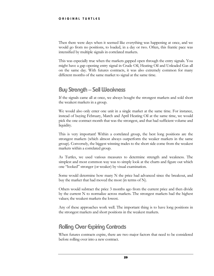Then there were days when it seemed like everything was happening at once, and we would go from no positions, to loaded, in a day or two. Often, this frantic pace was intensified by multiple signals in correlated markets.

This was especially true when the markets gapped open through the entry signals. You might have a gap opening entry signal in Crude Oil, Heating Oil and Unleaded Gas all on the same day. With futures contracts, it was also extremely common for many different months of the same market to signal at the same time.

## Buy Strength – Sell Weakness

If the signals came all at once, we always bought the strongest markets and sold short the weakest markets in a group.

We would also only enter one unit in a single market at the same time. For instance, instead of buying February, March and April Heating Oil at the same time, we would pick the one contract month that was the strongest, and that had sufficient volume and liquidity.

This is very important! Within a correlated group, the best long positions are the strongest markets (which almost always outperform the weaker markets in the same group). Conversely, the biggest winning trades to the short side come from the weakest markets within a correlated group.

As Turtles, we used various measures to determine strength and weakness. The simplest and most common way was to simply look at the charts and figure out which one "looked" stronger (or weaker) by visual examination.

Some would determine how many N the price had advanced since the breakout, and buy the market that had moved the most (in terms of N).

Others would subtract the price 3 months ago from the current price and then divide by the current N to normalize across markets. The strongest markets had the highest values; the weakest markets the lowest.

Any of these approaches work well. The important thing is to have long positions in the strongest markets and short positions in the weakest markets.

## Rolling Over Expiring Contracts

When futures contracts expire, there are two major factors that need to be considered before rolling over into a new contract.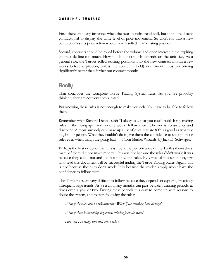First, there are many instances when the near months trend well, but the more distant contracts fail to display the same level of price movement. So don't roll into a new contract unless its price action would have resulted in an existing position.

Second, contracts should be rolled before the volume and open interest in the expiring contract decline too much. How much is too much depends on the unit size. As a general rule, the Turtles rolled existing positions into the new contract month a few weeks before expiration, unless the (currently held) near month was performing significantly better than farther out contract months.

### **Finally**

That concludes the Complete Turtle Trading System rules. As you are probably thinking, they are not very complicated.

But knowing these rules is not enough to make you rich. You have to be able to follow them.

Remember what Richard Dennis said: "I always say that you could publish my trading rules in the newspaper and no one would follow them. The key is consistency and discipline. Almost anybody can make up a list of rules that are 80% as good as what we taught our people. What they couldn't do is give them the confidence to stick to those rules even when things are going bad." – From Market Wizards, by Jack D. Schwager.

Perhaps the best evidence that this is true is the performance of the Turtles themselves; many of them did not make money. This was not because the rules didn't work; it was because they could not and did not follow the rules. By virtue of this same fact, few who read this document will be successful trading the Turtle Trading Rules. Again; this is not because the rules don't work. It is because the reader simply won't have the confidence to follow them.

The Turtle rules are very difficult to follow because they depend on capturing relatively infrequent large trends. As a result, many months can pass between winning periods; at times even a year or two. During these periods it is easy to come up with reasons to doubt the system, and to stop following the rules:

*What if the rules don't work anymore? What if the markets have changed?* 

*What if there is something important missing from the rules?* 

*How can I be really sure that this works?*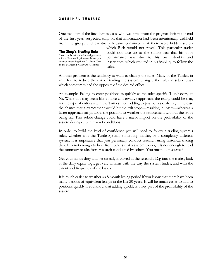One member of the first Turtles class, who was fired from the program before the end of the first year, suspected early on that information had been intentionally withheld from the group, and eventually became convinced that there were hidden secrets

#### The Shep's Trading Rule

"You can break the rules and get away with it. Eventually, the rules break you for not respecting them." – From Zen in the Markets, by Edward A.Toppel

which Rich would not reveal. This particular trader could not face up to the simple fact that his poor performance was due to his own doubts and insecurities, which resulted in his inability to follow the rules.

Another problem is the tendency to want to change the rules. Many of the Turtles, in an effort to reduce the risk of trading the system, changed the rules in subtle ways which sometimes had the opposite of the desired effect.

An example: Failing to enter positions as quickly as the rules specify  $(1 \text{ unit every } \frac{1}{2})$ N). While this may seem like a more conservative approach, the reality could be that, for the type of entry system the Turtles used, adding to positions slowly might increase the chance that a retracement would hit the exit stops—resulting in losses—whereas a faster approach might allow the position to weather the retracement without the stops being hit. This subtle change could have a major impact on the profitability of the system during certain market conditions.

In order to build the level of confidence you will need to follow a trading system's rules, whether it is the Turtle System, something similar, or a completely different system, it is imperative that you personally conduct research using historical trading data. It is not enough to hear from others that a system works; it is not enough to read the summary results from research conducted by others. You must do it yourself.

Get your hands dirty and get directly involved in the research. Dig into the trades, look at the daily equity logs, get very familiar with the way the system trades, and with the extent and frequency of the losses.

It is much easier to weather an 8 month losing period if you know that there have been many periods of equivalent length in the last 20 years. It will be much easier to add to positions quickly if you know that adding quickly is a key part of the profitability of the system.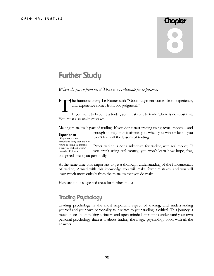# Further Study

*Where do you go from here? There is no substitute for experience.* 

he humorist Barry Le Platner said: "Good judgment comes from experience, and experience comes from bad judgment."  $\sum_{\rm{If}}^{\rm{he}}$ 

If you want to become a trader, you must start to trade. There is no substitute. You must also make mistakes.

Making mistakes is part of trading. If you don't start trading using actual money—and

#### **Experience**

"Experience is that marvelous thing that enables you to recognize a mistake when you make it again." - Franklyn P. Jones.

enough money that it affects you when you win or lose—you won't learn all the lessons of trading.

Paper trading is not a substitute for trading with real money. If you aren't using real money, you won't learn how hope, fear, and greed affect you personally.

At the same time, it is important to get a thorough understanding of the fundamentals of trading. Armed with this knowledge you will make fewer mistakes, and you will learn much more quickly from the mistakes that you do make.

Here are some suggested areas for further study:

# Trading Psychology

Trading psychology is the most important aspect of trading, and understanding yourself and your own personality as it relates to your trading is critical. This journey is much more about making a sincere and open-minded attempt to understand your own personal psychology than it is about finding the magic psychology book with all the answers.